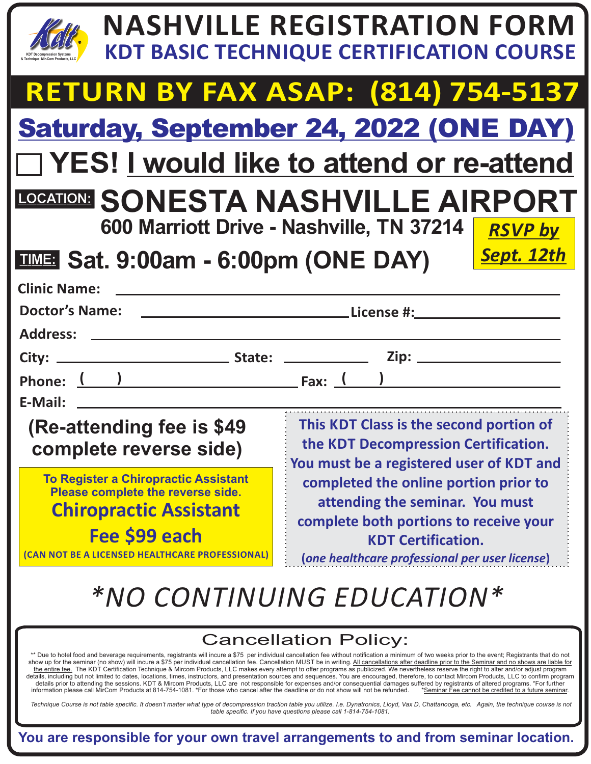|                                                                                                                                                                                                                                                                                                                                                                                                                                                                                                                                                                                                                                                                                                                                                                                                                                                                                                                                                                                                                                                                                                                                                                                                                                                                                                                                                                                                                                                                      | <b>NASHVILLE REGISTRATION FORM</b><br><b>KDT BASIC TECHNIQUE CERTIFICATION COURSE</b>                                                                                                             |  |
|----------------------------------------------------------------------------------------------------------------------------------------------------------------------------------------------------------------------------------------------------------------------------------------------------------------------------------------------------------------------------------------------------------------------------------------------------------------------------------------------------------------------------------------------------------------------------------------------------------------------------------------------------------------------------------------------------------------------------------------------------------------------------------------------------------------------------------------------------------------------------------------------------------------------------------------------------------------------------------------------------------------------------------------------------------------------------------------------------------------------------------------------------------------------------------------------------------------------------------------------------------------------------------------------------------------------------------------------------------------------------------------------------------------------------------------------------------------------|---------------------------------------------------------------------------------------------------------------------------------------------------------------------------------------------------|--|
|                                                                                                                                                                                                                                                                                                                                                                                                                                                                                                                                                                                                                                                                                                                                                                                                                                                                                                                                                                                                                                                                                                                                                                                                                                                                                                                                                                                                                                                                      | <b>RETURN BY FAX ASAP: (814) 754-5137</b>                                                                                                                                                         |  |
|                                                                                                                                                                                                                                                                                                                                                                                                                                                                                                                                                                                                                                                                                                                                                                                                                                                                                                                                                                                                                                                                                                                                                                                                                                                                                                                                                                                                                                                                      | <b>Saturday, September 24, 2022 (ONE DAY)</b>                                                                                                                                                     |  |
| □ YES! I would like to attend or re-attend                                                                                                                                                                                                                                                                                                                                                                                                                                                                                                                                                                                                                                                                                                                                                                                                                                                                                                                                                                                                                                                                                                                                                                                                                                                                                                                                                                                                                           |                                                                                                                                                                                                   |  |
| LOCATION: SONESTA NASHVILLE AIRPORT<br>600 Marriott Drive - Nashville, TN 37214<br><b>RSVP by</b>                                                                                                                                                                                                                                                                                                                                                                                                                                                                                                                                                                                                                                                                                                                                                                                                                                                                                                                                                                                                                                                                                                                                                                                                                                                                                                                                                                    |                                                                                                                                                                                                   |  |
| <b>TIME: Sat. 9:00am - 6:00pm (ONE DAY)</b>                                                                                                                                                                                                                                                                                                                                                                                                                                                                                                                                                                                                                                                                                                                                                                                                                                                                                                                                                                                                                                                                                                                                                                                                                                                                                                                                                                                                                          | Sept. 12th                                                                                                                                                                                        |  |
| <b>Clinic Name:</b><br><b>Doctor's Name:</b>                                                                                                                                                                                                                                                                                                                                                                                                                                                                                                                                                                                                                                                                                                                                                                                                                                                                                                                                                                                                                                                                                                                                                                                                                                                                                                                                                                                                                         |                                                                                                                                                                                                   |  |
| Address: _                                                                                                                                                                                                                                                                                                                                                                                                                                                                                                                                                                                                                                                                                                                                                                                                                                                                                                                                                                                                                                                                                                                                                                                                                                                                                                                                                                                                                                                           |                                                                                                                                                                                                   |  |
|                                                                                                                                                                                                                                                                                                                                                                                                                                                                                                                                                                                                                                                                                                                                                                                                                                                                                                                                                                                                                                                                                                                                                                                                                                                                                                                                                                                                                                                                      |                                                                                                                                                                                                   |  |
| E-Mail:                                                                                                                                                                                                                                                                                                                                                                                                                                                                                                                                                                                                                                                                                                                                                                                                                                                                                                                                                                                                                                                                                                                                                                                                                                                                                                                                                                                                                                                              |                                                                                                                                                                                                   |  |
| (Re-attending fee is \$49)<br>complete reverse side)                                                                                                                                                                                                                                                                                                                                                                                                                                                                                                                                                                                                                                                                                                                                                                                                                                                                                                                                                                                                                                                                                                                                                                                                                                                                                                                                                                                                                 | This KDT Class is the second portion of<br>the KDT Decompression Certification.<br>You must be a registered user of KDT and                                                                       |  |
| <b>To Register a Chiropractic Assistant</b><br>Please complete the reverse side.<br><b>Chiropractic Assistant</b><br>Fee \$99 each<br>(CAN NOT BE A LICENSED HEALTHCARE PROFESSIONAL)                                                                                                                                                                                                                                                                                                                                                                                                                                                                                                                                                                                                                                                                                                                                                                                                                                                                                                                                                                                                                                                                                                                                                                                                                                                                                | completed the online portion prior to<br>attending the seminar. You must<br>complete both portions to receive your<br><b>KDT Certification.</b><br>(one healthcare professional per user license) |  |
| *NO CONTINUING EDUCATION*                                                                                                                                                                                                                                                                                                                                                                                                                                                                                                                                                                                                                                                                                                                                                                                                                                                                                                                                                                                                                                                                                                                                                                                                                                                                                                                                                                                                                                            |                                                                                                                                                                                                   |  |
| <b>Cancellation Policy:</b><br>** Due to hotel food and beverage requirements, registrants will incure a \$75 per individual cancellation fee without notification a minimum of two weeks prior to the event; Registrants that do not<br>show up for the seminar (no show) will incure a \$75 per individual cancellation fee. Cancellation MUST be in writing. All cancellations after deadline prior to the Seminar and no shows are liable for<br>the entire fee. The KDT Certification Technique & Mircom Products, LLC makes every attempt to offer programs as publicized. We nevertheless reserve the right to alter and/or adjust program<br>details, including but not limited to dates, locations, times, instructors, and presentation sources and sequences. You are encouraged, therefore, to contact Mircom Products, LLC to confirm program<br>details prior to attending the sessions. KDT & Mircom Products, LLC are not responsible for expenses and/or consequential damages suffered by registrants of altered programs. *For further<br>information please call MirCom Products at 814-754-1081. *For those who cancel after the deadline or do not show will not be refunded.<br>*Seminar Fee cannot be credited to a future seminar.<br>Technique Course is not table specific. It doesn't matter what type of decompression traction table you utilize. I.e. Dynatronics, Lloyd, Vax D, Chattanooga, etc. Again, the technique course is not |                                                                                                                                                                                                   |  |
| table specific. If you have questions please call 1-814-754-1081.<br>You are responsible for your own travel arrangements to and from seminar location.                                                                                                                                                                                                                                                                                                                                                                                                                                                                                                                                                                                                                                                                                                                                                                                                                                                                                                                                                                                                                                                                                                                                                                                                                                                                                                              |                                                                                                                                                                                                   |  |

**You are responsible for your own travel arrangements to and from seminar location.**